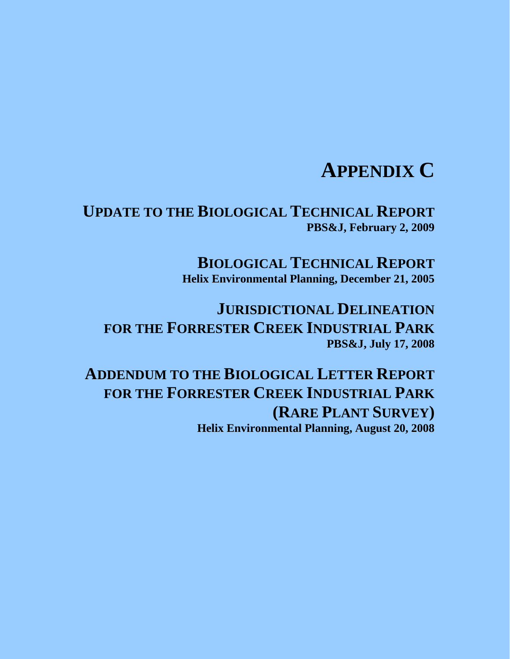# **APPENDIX C**

**UPDATE TO THE BIOLOGICAL TECHNICAL REPORT PBS&J, February 2, 2009** 

> **BIOLOGICAL TECHNICAL REPORT Helix Environmental Planning, December 21, 2005**

**JURISDICTIONAL DELINEATION FOR THE FORRESTER CREEK INDUSTRIAL PARK PBS&J, July 17, 2008** 

**ADDENDUM TO THE BIOLOGICAL LETTER REPORT FOR THE FORRESTER CREEK INDUSTRIAL PARK (RARE PLANT SURVEY) Helix Environmental Planning, August 20, 2008**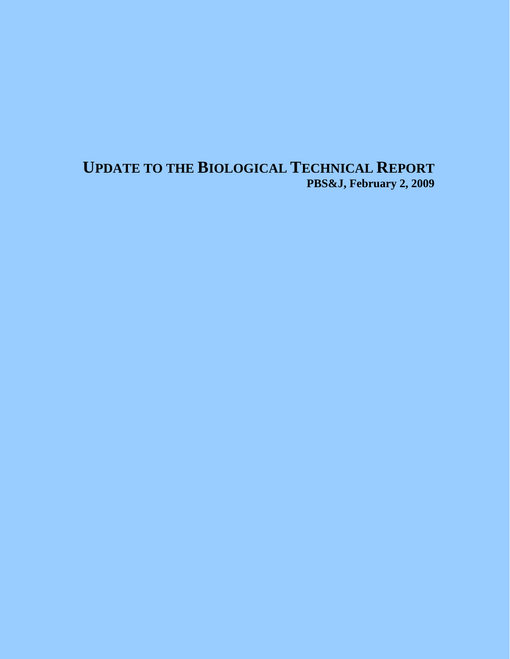# **UPDATE TO THE BIOLOGICAL TECHNICAL REPORT PBS&J, February 2, 2009**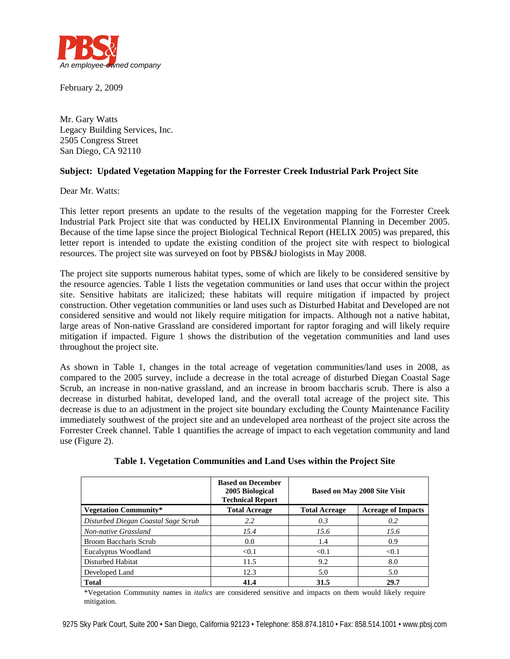

February 2, 2009

Mr. Gary Watts Legacy Building Services, Inc. 2505 Congress Street San Diego, CA 92110

#### **Subject: Updated Vegetation Mapping for the Forrester Creek Industrial Park Project Site**

Dear Mr. Watts:

This letter report presents an update to the results of the vegetation mapping for the Forrester Creek Industrial Park Project site that was conducted by HELIX Environmental Planning in December 2005. Because of the time lapse since the project Biological Technical Report (HELIX 2005) was prepared, this letter report is intended to update the existing condition of the project site with respect to biological resources. The project site was surveyed on foot by PBS&J biologists in May 2008.

The project site supports numerous habitat types, some of which are likely to be considered sensitive by the resource agencies. Table 1 lists the vegetation communities or land uses that occur within the project site. Sensitive habitats are italicized; these habitats will require mitigation if impacted by project construction. Other vegetation communities or land uses such as Disturbed Habitat and Developed are not considered sensitive and would not likely require mitigation for impacts. Although not a native habitat, large areas of Non-native Grassland are considered important for raptor foraging and will likely require mitigation if impacted. Figure 1 shows the distribution of the vegetation communities and land uses throughout the project site.

As shown in Table 1, changes in the total acreage of vegetation communities/land uses in 2008, as compared to the 2005 survey, include a decrease in the total acreage of disturbed Diegan Coastal Sage Scrub, an increase in non-native grassland, and an increase in broom baccharis scrub. There is also a decrease in disturbed habitat, developed land, and the overall total acreage of the project site. This decrease is due to an adjustment in the project site boundary excluding the County Maintenance Facility immediately southwest of the project site and an undeveloped area northeast of the project site across the Forrester Creek channel. Table 1 quantifies the acreage of impact to each vegetation community and land use (Figure 2).

|                                     | <b>Based on December</b><br>2005 Biological<br><b>Technical Report</b> | <b>Based on May 2008 Site Visit</b> |                           |
|-------------------------------------|------------------------------------------------------------------------|-------------------------------------|---------------------------|
| <b>Vegetation Community*</b>        | <b>Total Acreage</b>                                                   | <b>Total Acreage</b>                | <b>Acreage of Impacts</b> |
| Disturbed Diegan Coastal Sage Scrub | 2.2                                                                    | 0.3                                 | 0.2                       |
| Non-native Grassland                | 15.4                                                                   | 15.6                                | 15.6                      |
| Broom Baccharis Scrub               | 0.0                                                                    | 1.4                                 | 0.9                       |
| Eucalyptus Woodland                 | < 0.1                                                                  | < 0.1                               | < 0.1                     |
| Disturbed Habitat                   | 11.5                                                                   | 9.2                                 | 8.0                       |
| Developed Land                      | 12.3                                                                   | 5.0                                 | 5.0                       |
| <b>Total</b>                        | 41.4                                                                   | 31.5                                | 29.7                      |

**Table 1. Vegetation Communities and Land Uses within the Project Site** 

\*Vegetation Community names in *italics* are considered sensitive and impacts on them would likely require mitigation.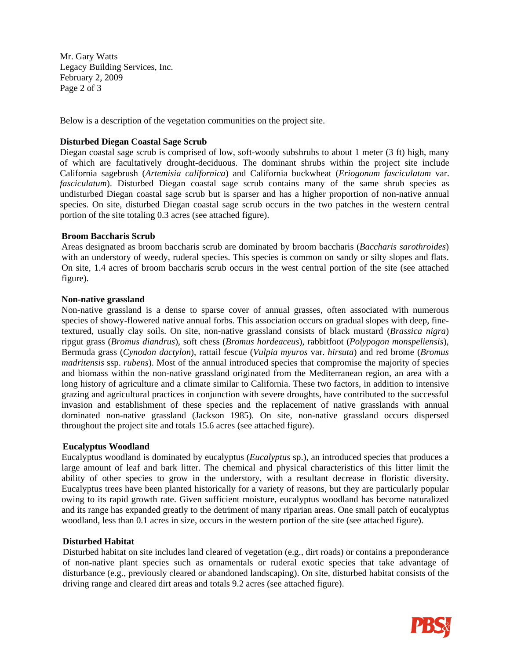Mr. Gary Watts Legacy Building Services, Inc. February 2, 2009 Page 2 of 3

Below is a description of the vegetation communities on the project site.

#### **Disturbed Diegan Coastal Sage Scrub**

Diegan coastal sage scrub is comprised of low, soft-woody subshrubs to about 1 meter (3 ft) high, many of which are facultatively drought-deciduous. The dominant shrubs within the project site include California sagebrush (*Artemisia californica*) and California buckwheat (*Eriogonum fasciculatum* var. *fasciculatum*). Disturbed Diegan coastal sage scrub contains many of the same shrub species as undisturbed Diegan coastal sage scrub but is sparser and has a higher proportion of non-native annual species. On site, disturbed Diegan coastal sage scrub occurs in the two patches in the western central portion of the site totaling 0.3 acres (see attached figure).

#### **Broom Baccharis Scrub**

Areas designated as broom baccharis scrub are dominated by broom baccharis (*Baccharis sarothroides*) with an understory of weedy, ruderal species. This species is common on sandy or silty slopes and flats. On site, 1.4 acres of broom baccharis scrub occurs in the west central portion of the site (see attached figure).

#### **Non-native grassland**

Non-native grassland is a dense to sparse cover of annual grasses, often associated with numerous species of showy-flowered native annual forbs. This association occurs on gradual slopes with deep, finetextured, usually clay soils. On site, non-native grassland consists of black mustard (*Brassica nigra*) ripgut grass (*Bromus diandrus*), soft chess (*Bromus hordeaceus*), rabbitfoot (*Polypogon monspeliensis*), Bermuda grass (*Cynodon dactylon*), rattail fescue (*Vulpia myuros* var. *hirsuta*) and red brome (*Bromus madritensis* ssp. *rubens*). Most of the annual introduced species that compromise the majority of species and biomass within the non-native grassland originated from the Mediterranean region, an area with a long history of agriculture and a climate similar to California. These two factors, in addition to intensive grazing and agricultural practices in conjunction with severe droughts, have contributed to the successful invasion and establishment of these species and the replacement of native grasslands with annual dominated non-native grassland (Jackson 1985). On site, non-native grassland occurs dispersed throughout the project site and totals 15.6 acres (see attached figure).

#### **Eucalyptus Woodland**

Eucalyptus woodland is dominated by eucalyptus (*Eucalyptus* sp.), an introduced species that produces a large amount of leaf and bark litter. The chemical and physical characteristics of this litter limit the ability of other species to grow in the understory, with a resultant decrease in floristic diversity. Eucalyptus trees have been planted historically for a variety of reasons, but they are particularly popular owing to its rapid growth rate. Given sufficient moisture, eucalyptus woodland has become naturalized and its range has expanded greatly to the detriment of many riparian areas. One small patch of eucalyptus woodland, less than 0.1 acres in size, occurs in the western portion of the site (see attached figure).

#### **Disturbed Habitat**

Disturbed habitat on site includes land cleared of vegetation (e.g., dirt roads) or contains a preponderance of non-native plant species such as ornamentals or ruderal exotic species that take advantage of disturbance (e.g., previously cleared or abandoned landscaping). On site, disturbed habitat consists of the driving range and cleared dirt areas and totals 9.2 acres (see attached figure).

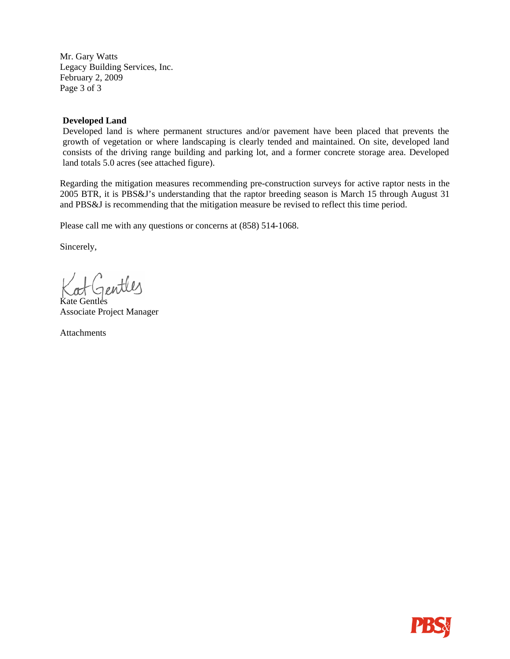Mr. Gary Watts Legacy Building Services, Inc. February 2, 2009 Page 3 of 3

#### **Developed Land**

Developed land is where permanent structures and/or pavement have been placed that prevents the growth of vegetation or where landscaping is clearly tended and maintained. On site, developed land consists of the driving range building and parking lot, and a former concrete storage area. Developed land totals 5.0 acres (see attached figure).

Regarding the mitigation measures recommending pre-construction surveys for active raptor nests in the 2005 BTR, it is PBS&J's understanding that the raptor breeding season is March 15 through August 31 and PBS&J is recommending that the mitigation measure be revised to reflect this time period.

Please call me with any questions or concerns at (858) 514-1068.

Sincerely,

Kat Gentles

Associate Project Manager

Attachments

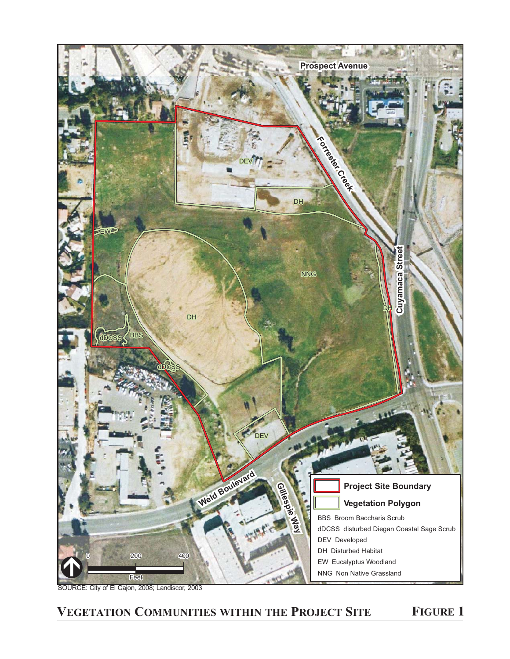

SOURCE: City of El Cajon, 2008; Landiscor, 2003

## **VEGETATION COMMUNITIES WITHIN THE PROJECT SITE FIGURE 1**